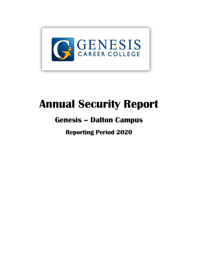

# **Annual Security Report**

# **Genesis – Dalton Campus**

**Reporting Period 2020**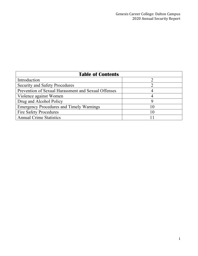| <b>Table of Contents</b>                            |      |
|-----------------------------------------------------|------|
| Introduction                                        |      |
| <b>Security and Safety Procedures</b>               |      |
| Prevention of Sexual Harassment and Sexual Offenses |      |
| Violence against Women                              |      |
| Drug and Alcohol Policy                             |      |
| <b>Emergency Procedures and Timely Warnings</b>     |      |
| <b>Fire Safety Procedures</b>                       | l () |
| <b>Annual Crime Statistics</b>                      |      |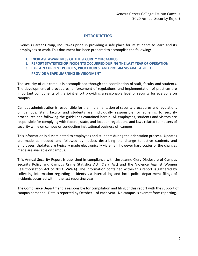# **INTRODUCTION**

Genesis Career Group, Inc. takes pride in providing a safe place for its students to learn and its employees to work. This document has been prepared to accomplish the following:

- **1. INCREASE AWARENESS OF THE SECURITY ONCAMPUS**
- **2. REPORT STATISTICS OF INCIDENTS OCCURRED DURING THE LAST YEAR OF OPERATION**
- **3. EXPLAIN CURRENT POLICIES, PROCEDURES, AND PROGRAMS AVAILABLE TO**

# **PROVIDE A SAFE LEARNING ENVIRONMENT**

The security of our campus is accomplished through the coordination of staff, faculty and students. The development of procedures, enforcement of regulations, and implementation of practices are important components of the joint effort providing a reasonable level of security for everyone on campus.

Campus administration is responsible for the implementation of security procedures and regulations on campus. Staff, faculty and students are individually responsible for adhering to security procedures and following the guidelines contained herein. All employees, students and visitors are responsible for complying with federal, state, and location regulations and laws related to matters of security while on campus or conducting institutional business off campus.

This information is disseminated to employees and students during the orientation process. Updates are made as needed and followed by notices describing the change to active students and employees. Updates are typically made electronically via email; however hard copies of the changes made are available on campus.

This Annual Security Report is published in compliance with the Jeanne Clery Disclosure of Campus Security Policy and Campus Crime Statistics Act (Clery Act) and the Violence Against Women Reauthorization Act of 2013 (VAWA). The information contained within this report is gathered by collecting information regarding incidents via internal log and local police department filings of incidents occurred within the last reporting year.

The Compliance Department is responsible for compilation and filing of this report with the support of campus personnel. Data is reported by October 1 of each year. No campus is exempt from reporting.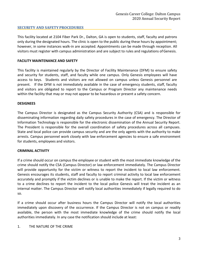# **SECURITY AND SAFETY PROCEDURES**

This facility located at 2104 Fiber Park Dr., Dalton, GA is open to students, staff, faculty and patrons only during the designated hours. The clinic is open to the public during these hours by appointment; however, in some instances walk-in are accepted. Appointments can be made through reception. All visitors must register with campus administration and are subject to rules and regulations ofGenesis.

#### **FACILITY MAINTENANCE AND SAFETY**

This facility is maintained regularly by the Director of Facility Maintenance (DFM) to ensure safety and security for students, staff, and faculty while one campus. Only Genesis employees will have access to keys. Students and visitors are not allowed on campus unless Genesis personnel are present. If the DFM is not immediately available in the case of emergency students, staff, faculty and visitors are obligated to report to the Campus or Program Director any maintenance needs within the facility that may or may not appear to be hazardous or present a safety concern.

#### **DESIGNEES**

The Campus Director is designated as the Campus Security Authority (CSA) and is responsible for disseminating information regarding daily safety procedures in the case of emergency. The Director of Information Technology is responsible for the electronic dissemination of the Annual Security Report. The President is responsible for the overall coordination of safety procedures across all campuses. State and local police can provide campus security and are the only agents with the authority to make arrests. Campus personnel work closely with law enforcement agencies to ensure a safe environment for students, employees and visitors.

# **CRIMINAL ACTIVITY**

If a crime should occur on campus the employee or student with the most immediate knowledge of the crime should notify the CSA (Campus Director) or law enforcement immediately. The Campus Director will provide opportunity for the victim or witness to report the incident to local law enforcement. Genesis encourages its students, staff and faculty to report criminal activity to local law enforcement accurately and promptly if the victim declines or is unable to make the report. If the victim or witness to a crime declines to report the incident to the local police Genesis will treat the incident as an internal matter. The Campus Director will notify local authorities immediately if legally required to do so.

If a crime should occur after business hours the Campus Director will notify the local authorities immediately upon discovery of the occurrence. If the Campus Director is not on campus or readily available, the person with the most immediate knowledge of the crime should notify the local authorities immediately. In any case the notification should include at least:

#### 1. THE NATURE OF THE CRIME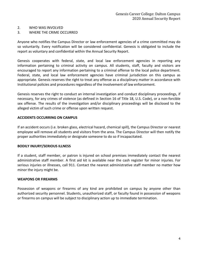#### 2. WHO WAS INVOLVED

#### 3. WHERE THE CRIME OCCURRED

Anyone who notifies the Campus Director or law enforcement agencies of a crime committed may do so voluntarily. Every notification will be considered confidential. Genesis is obligated to include the report as voluntary and confidential within the Annual Security Report.

Genesis cooperates with federal, state, and local law enforcement agencies in reporting any information pertaining to criminal activity on campus. All students, staff, faculty and visitors are encouraged to report any information pertaining to a criminal offense to the local police department. Federal, state, and local law enforcement agencies have criminal jurisdiction on this campus as appropriate. Genesis reserves the right to treat any offense as a disciplinary matter in accordance with Institutional policies and procedures regardless of the involvement of law enforcement.

Genesis reserves the right to conduct an internal investigation and conduct disciplinary proceedings, if necessary, for any crimes of violence (as defined in Section 16 of Title 18, U.S. Code), or a non-forcible sex offense. The results of the investigation and/or disciplinary proceedings will be disclosed to the alleged victim of such crime or offense upon written request.

#### **ACCIDENTS OCCURRING ON CAMPUS**

If an accident occurs (i.e. broken glass, electrical hazard, chemical spill), the Campus Director or nearest employee will remove all students and visitors from the area. The Campus Director will then notify the proper authorities immediately or designate someone to do so if incapacitated.

#### **BODILY INJURY/SERIOUS ILLNESS**

If a student, staff member, or patron is injured on school premises immediately contact the nearest administrative staff member. A first aid kit is available near the cash register for minor injuries. For serious injuries or illnesses, call 911. Contact the nearest administrative staff member no matter how minor the injury might be.

#### **WEAPONS OR FIREARMS**

Possession of weapons or firearms of any kind are prohibited on campus by anyone other than authorized security personnel. Students, unauthorized staff, or faculty found in possession of weapons or firearms on campus will be subject to disciplinary action up to immediate termination.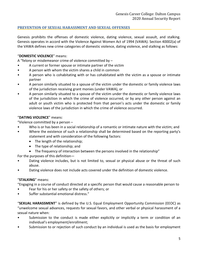# **PREVENTION OF SEXUAL HARASSMENT AND SEXUAL OFFENSES**

Genesis prohibits the offenses of domestic violence, dating violence, sexual assault, and stalking. Genesis operates in accord with the Violence Against Women Act of 1994 (VAWA). Section 40002(a) of the VAWA defines new crime categories of domestic violence, dating violence, and stalking as follows:

# "**DOMESTIC VIOLENCE**" means:

A "felony or misdemeanor crime of violence committed by –

- A current or former spouse or intimate partner of the victim
- A person with whom the victim shares a child in common
- A person who is cohabitating with or has cohabitated with the victim as a spouse or intimate partner
- A person similarly situated to a spouse of the victim under the domestic or family violence laws of the jurisdiction receiving grant monies (under VAWA), or
- A person similarly situated to a spouse of the victim under the domestic or family violence laws of the jurisdiction in which the crime of violence occurred, or by any other person against an adult or youth victim who is protected from that person's acts under the domestic or family violence laws of the jurisdiction in which the crime of violence occurred.

# "**DATING VIOLENCE**" means:

"Violence committed by a person –

- Who is or has been in a social relationship of a romantic or intimate nature with the victim; and
- Where the existence of such a relationship shall be determined based on the reporting party's statement and with consideration of the following factors:
	- The length of the relationship;
	- The type of relationship; and
	- The frequency of interaction between the persons involved in the relationship"

For the purposes of this definition—

- Dating violence includes, but is not limited to, sexual or physical abuse or the threat of such abuse.
- Dating violence does not include acts covered under the definition of domestic violence.

# "**STALKING**" means:

"Engaging in a course of conduct directed at a specific person that would cause a reasonable person to

- Fear for his or her safety or the safety of others; or
- Suffer substantial emotional distress."

"**SEXUAL HARASSMENT**" is defined by the U.S. Equal Employment Opportunity Commission (EEOC) as "unwelcome sexual advances, requests for sexual favors, and other verbal or physical harassment of a sexual nature when:

- Submission to the conduct is made either explicitly or implicitly a term or condition of an individual's employment/enrollment;
- Submission to or rejection of such conduct by an individual is used as the basis for employment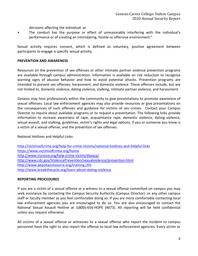decisions affecting the individual; or

• The conduct has the purpose or effect of unreasonably interfering with the individual's performance or of creating an intimidating, hostile or offensive environment."

Sexual activity requires consent, which is defined as voluntary, positive agreement between participants to engage is specific sexual activity.

#### **PREVENTION AND AWARENESS**

Resources on the prevention of sex offenses or other intimate partner violence prevention programs are available through campus administration. Information is available on risk reduction to recognize warning signs of abusive behavior and how to avoid potential attacks. Prevention programs are intended to prevent sex offenses, harassment, and domestic violence. These offenses include, but are not limited to, domestic violence, dating violence, stalking, intimate partner violence, and harassment.

Genesis may host professionals within the community to give presentations to promote awareness of sexual offenses. Local law enforcement agencies may also provide resources or give presentations on the consequences of such offenses and guidance for victims of sex crimes. Contact your Campus Director to inquire about available programs or to request a presentation. The following links provide information to increase awareness of rape, acquaintance rape, domestic violence, dating violence, sexual assault, and stalking, guidelines, victim's rights and legal options, if you or someone you know is a victim of a sexual offense, and the prevention of sex offenses.

National Hotlines and Helpful Links:

| http://victimsofcrime.org/help-for-crime-victims/national-hotlines-and-helpful-links |
|--------------------------------------------------------------------------------------|
| https://www.victimsofcrime.org/home                                                  |
| http://www.trynova.org/help-crime-victim/dsaacp/                                     |
| http://www.cdc.gov/ViolencePrevention/sexualviolence/prevention.html                 |
| http://www.aequitasresource.org/training.cfm                                         |
| http://www.breakthecycle.org/learn-about-dating-violence                             |

#### **REPORTING PROCEDURES**

If you are a victim of a sexual offense or a witness to a sexual offense committed on campus you may seek assistance by contacting the Campus Security Authority (Campus Director) or any other campus staff or faculty member as you feel comfortable doing so. If you are more comfortable contacting local law enforcement agencies you are encouraged to do so. You are also encouraged to contact the National Sexual Assault Hotline at 1(800)-656-HOPE (4673). All reporting will be held confidential unless you request otherwise.

All victims of a sexual offense or witnesses to a sexual offense who report the incident to campus personnel have the right to also report the offense to local law enforcement agencies. Every victim or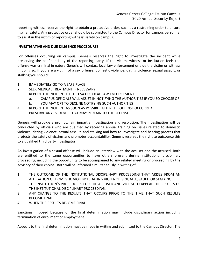reporting witness reserve the right to obtain a protective order, such as a restraining order to ensure his/her safety. Any protective order should be submitted to the Campus Director for campus personnel to assist in the victim or reporting witness' safety on campus.

# **INVESTIGATIVE AND DUE DILIGENCE PROCEDURES**

For offenses occurring on campus, Genesis reserves the right to investigate the incident while preserving the confidentiality of the reporting party. If the victim, witness or Institution feels the offense was criminal in nature Genesis will contact local law enforcement or aide the victim or witness in doing so. If you are a victim of a sex offense, domestic violence, dating violence, sexual assault, or stalking you should:

- 1. IMMEDIATELY GO TO A SAFE PLACE
- 2. SEEK MEDICAL TREATMENT IF NECESSARY
- 3. REPORT THE INCIDENT TO THE CSA OR LOCAL LAW ENFORCEMENT
	- a. CAMPUS OFFICIALS WILL ASSIST IN NOTIFYING THE AUTHORITIES IF YOU SO CHOOSE OR
	- b. YOU MAY OPT TO DECLINE NOTIFYING SUCH AUTHORITIES
- 4. REPORT THE INCIDENT AS SOON AS POSSIBLE AFTER THE OFFENSE OCCURRED
- 5. PRESERVE ANY EVIDENCE THAT MAY PERTAIN TO THE OFFENSE

Genesis will provide a prompt, fair, impartial investigation and resolution. The investigation will be conducted by officials who are qualified by receiving annual training on issues related to domestic violence, dating violence, sexual assault, and stalking and how to investigate and hearing process that protects the safety of victims and promotes accountability. Genesis reserves the right to outsource this to a qualified third party investigator.

An investigation of a sexual offense will include an interview with the accuser and the accused. Both are entitled to the same opportunities to have others present during institutional disciplinary proceeding, including the opportunity to be accompanied to any related meeting or proceeding by the advisory of their choice. Both will be informed simultaneously in writing of:

- 1. THE OUTCOME OF THE INSTITUTIONAL DISCIPLINARY PROCEEDING THAT ARISES FROM AN ALLEGATION OF DOMESTIC VIOLENCE, DATING VIOLENCE, SEXUAL ASSAULT, OR STALKING
- 2. THE INSTITUTION'S PROCEDURES FOR THE ACCUSED AND VICTIM TO APPEAL THE RESULTS OF THE INSTITUTIONAL DISCIPLINARY PROCEEDING.
- 3. ANY CHANGE TO THE RESULTS THAT OCCURS PRIOR TO THE TIME THAT SUCH RESULTS BECOME FINAL
- 4. WHEN THE RESULTS BECOME FINAL

Sanctions imposed because of the final determination may include disciplinary action including termination of enrollment or employment.

Appeals to the final determination must be made in writing and submitted to the Campus Director. The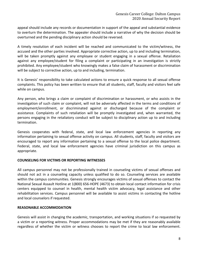appeal should include any records or documentation in support of the appeal and substantial evidence to overturn the determination. The appealer should include a narrative of why the decision should be overturned and the pending disciplinary action should be reversed.

A timely resolution of each incident will be reached and communicated to the victim/witness, the accused and the other parties involved. Appropriate corrective action, up to and including termination, will be taken promptly against any employee or student engaging in a sexual offense. Retaliation against any employee/student for filing a complaint or participating in an investigation is strictly prohibited. Any employee/student who knowingly makes a false claim of harassment or discrimination will be subject to corrective action, up to and including, termination.

It is Genesis' responsibility to take calculated actions to ensure a quick response to all sexual offense complaints. This policy has been written to ensure that all students, staff, faculty and visitors feel safe while on campus.

Any person, who brings a claim or complaint of discrimination or harassment, or who assists in the investigation of such claim or complaint, will not be adversely affected in the terms and conditions of employment/enrollment, or discriminated against or discharged because of the complaint or assistance. Complaints of such retaliation will be promptly investigated and, when warranted, the persons engaging in the retaliatory conduct will be subject to disciplinary action up to and including termination.

Genesis cooperates with federal, state, and local law enforcement agencies in reporting any information pertaining to sexual offense activity on campus. All students, staff, faculty and visitors are encouraged to report any information pertaining to a sexual offense to the local police department. Federal, state, and local law enforcement agencies have criminal jurisdiction on this campus as appropriate.

# **COUNSELING FOR VICTIMS OR REPORTING WITNESSES**

All campus personnel may not be professionally trained in counseling victims of sexual offenses and should not act in a counseling capacity unless qualified to do so. Counseling services are available within the campus communities. Genesis strongly encourages victims of sexual offenses to contact the National Sexual Assault Hotline at 1(800) 656-HOPE (4673) to obtain local contact information for crisis centers equipped to counsel in health, mental health victim advocacy, legal assistance and other rehabilitation services. Campus personnel will be available to assist victims in contacting the hotline and local counselors if requested.

# **REASONABLE ACCOMMODATION**

Genesis will assist in changing the academic, transportation, and working situations if so requested by a victim or a reporting witness. Proper accommodations may be met if they are reasonably available regardless of whether the victim or witness chooses to report the crime to local law enforcement.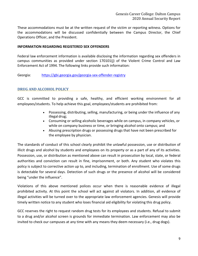These accommodations must be at the written request of the victim or reporting witness. Options for the accommodations will be discussed confidentially between the Campus Director, the Chief Operations Officer, and the President.

#### **INFORMATION REGARDING REGISTERED SEX OFFENDERS**

Federal law enforcement information is available disclosing the information regarding sex offenders in campus communities as provided under section 170101(j) of the Violent Crime Control and Law Enforcement Act of 1994. The following links provide such information:

Georgia: [https://gbi.georgia.gov/georgia-sex-offender-registry](https://www.tn.gov/tbi/general-information/tennessee-sex-offender-registry.htm)

# **DRUG AND ALCOHOL POLICY**

GCC is committed to providing a safe, healthy, and efficient working environment for all employees/students. To help achieve this goal, employees/students are prohibited from:

- Possessing, distributing, selling, manufacturing, or being under the influence of any illegal drug;
- Consuming or selling alcoholic beverages while on campus, in company vehicles, or while on company business or time, or bringing alcohol onto campus; and
- Abusing prescription drugs or possessing drugs that have not been prescribed for the employee by physician.

The standards of conduct of this school clearly prohibit the unlawful possession, use or distribution of illicit drugs and alcohol by students and employees on its property or as a part of any of its activities. Possession, use, or distribution as mentioned above can result in prosecution by local, state, or federal authorities and conviction can result in fine, imprisonment, or both. Any student who violates this policy is subject to corrective action up to, and including, termination of enrollment. Use of some drugs is detectable for several days. Detection of such drugs or the presence of alcohol will be considered being "under the influence".

Violations of this above mentioned polices occur when there is reasonable evidence of illegal prohibited activity. At this point the school will act against all violators. In addition, all evidence of illegal activities will be turned over to the appropriate law enforcement agencies. Genesis will provide timely written notice to any student who loses financial aid eligibility for violating this drug policy.

GCC reserves the right to request random drug tests for its employees and students. Refusal to submit to a drug and/or alcohol screen is grounds for immediate termination. Law enforcement may also be invited to check our campuses at any time with any means they deem necessary (i.e., drug dogs).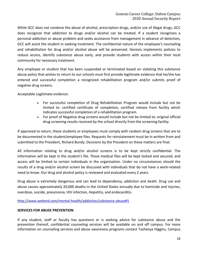While GCC does not condone the abuse of alcohol, prescription drugs, and/or use of illegal drugs, GCC does recognize that addiction to drugs and/or alcohol can be treated. If a student recognizes a personal addiction or abuse problem and seeks assistance from management in advance of detection, GCC will assist the student in seeking treatment. The confidential nature of the employee's counseling and rehabilitation for drug and/or alcohol abuse will be preserved. Genesis implements policies to reduce access, identify substance abuse early, and provide students with access within their local community for necessary treatment.

Any employee or student that has been suspended or terminated based on violating this substance abuse policy that wishes to return to our schools must first provide legitimate evidence that he/she has entered and successful completion a recognized rehabilitation program and/or submits proof of negative drug screens.

Acceptable Legitimate evidence:

- For successful completion of Drug Rehabilitation Program would include but not be limited to: certified certificate of completion, certified release from facility which indicates successful completion of a rehabilitation program.
- For proof of Negative drug screens would include but not be limited to: original official drug screening results received by the school directly from the screening facility.

If approved to return, these students or employees must comply with random drug screens that are to be documented in the student/employee files. Requests for reinstatement must be in written from and submitted to the President, Richard Bundy. Decisions by the President on these matters are final.

All information relating to drug and/or alcohol screens is to be kept strictly confidential. The information will be kept in the student's file. These medical files will be kept locked and secured, and access will be limited to certain individuals in the organization. Under no circumstances should the results of a drug and/or alcohol screen be discussed with individuals that do not have a work-related need to know. Our drug and alcohol policy is reviewed and evaluated every 2 years.

Drug abuse is extremely dangerous and can lead to dependency, addiction and death. Drug use and abuse causes approximately 20,000 deaths in the United States annually due to homicide and injuries, overdose, suicide, pneumonia, HIV infection, Hepatitis, and endocarditis.

http://www.webmd.com/mental-health/addiction/substance-abuse#1

# **SERVICES FOR ABUSE PREVENTION**

If any student, staff or faculty has questions or is seeking advice for substance abuse and the prevention thereof, confidential counseling services will be available on and off campus. For more information on counseling services and abuse awareness programs contact Tashanya Higgins, Campus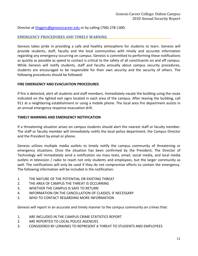Director at thiggins@genesiscareer.edu or by calling (706) 278-1300.

#### **EMERGENCY PROCEDURES AND TIMELY WARNING**

Genesis takes pride in providing a safe and healthy atmosphere for students to learn. Genesis will provide students, staff, faculty and the local communities with timely and accurate information regarding any emergency occurring on campus. Genesis is committed to performing these notifications as quickly as possible as speed to contact is critical to the safety of all constituents on and off campus. While Genesis will notify students, staff and faculty annually about campus security procedures, students are encouraged to be responsible for their own security and the security of others. The following procedures should be followed:

#### **FIRE EMERGENCY AND EVACUATION PROCEDURES**

If fire is detected, alert all students and staff members. Immediately vacate the building using the route indicated on the lighted exit signs located in each area of the campus. After leaving the building, call 911 at a neighboring establishment or using a mobile phone. The local area fire department assists in an annual emergency response evacuation drill.

# **TIMELY WARNING AND EMERGENCY NOTIFICATION**

If a threatening situation arises on campus students should alert the nearest staff or faculty member. The staff or faculty member will immediately notify the local police department, the Campus Director and the President by email or phone.

Genesis utilizes multiple media outlets to timely notify the campus community of threatening or emergency situations. Once the situation has been confirmed by the President, The Director of Technology will immediately send a notification via mass texts, email, social media, and local media outlets in television / radio to reach not only students and employees, but the larger community as well. The notifications will only be used if they do not compromise efforts to contain the emergency. The following information will be included in the notification:

- 1. THE NATURE OF THE POTENTIAL OR EXISTING THREAT
- 2. THE AREA OF CAMPUS THE THREAT IS OCCURRING
- 3. WHETHER THE CAMPUS IS SAFE TO RETURN
- 4. INFORMATION ON THE CANCELLATION OF CLASSES, IF NECESSARY
- 5. WHO TO CONTACT REGARDING MORE INFORMATION

Genesis will report in an accurate and timely manner to the campus community on crimes that:

- 1. ARE INCLUDED IN THE CAMPUS CRIME STATISTICS REPORT
- 2. ARE REPORTED TO LOCAL POLICE AGENCIES
- 3. CONSIDERED BY LORAINES TO REPRESENT A THREAT TO STUDENTS AND EMPLOYEES